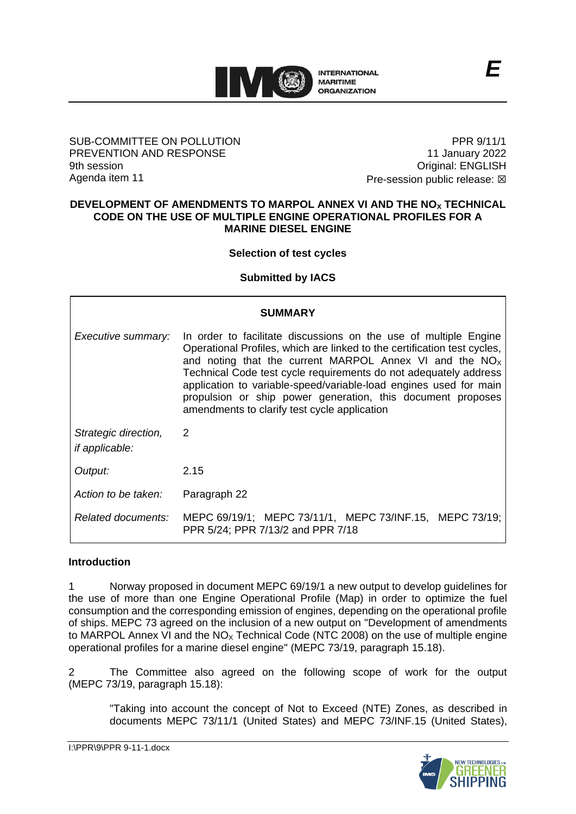

#### SUB-COMMITTEE ON POLLUTION PREVENTION AND RESPONSE 9th session Agenda item 11

PPR 9/11/1 11 January 2022 Original: ENGLISH Pre-session public release:  $\boxtimes$ 

*E*

#### **DEVELOPMENT OF AMENDMENTS TO MARPOL ANNEX VI AND THE NO<sup>X</sup> TECHNICAL CODE ON THE USE OF MULTIPLE ENGINE OPERATIONAL PROFILES FOR A MARINE DIESEL ENGINE**

# **Selection of test cycles**

**Submitted by IACS**

|                                               | <b>SUMMARY</b>                                                                                                                                                                                                                                                                                                                                                                                                                                                    |
|-----------------------------------------------|-------------------------------------------------------------------------------------------------------------------------------------------------------------------------------------------------------------------------------------------------------------------------------------------------------------------------------------------------------------------------------------------------------------------------------------------------------------------|
| Executive summary:                            | In order to facilitate discussions on the use of multiple Engine<br>Operational Profiles, which are linked to the certification test cycles,<br>and noting that the current MARPOL Annex VI and the $NOx$<br>Technical Code test cycle requirements do not adequately address<br>application to variable-speed/variable-load engines used for main<br>propulsion or ship power generation, this document proposes<br>amendments to clarify test cycle application |
| Strategic direction,<br><i>if applicable:</i> | $\mathcal{P}$                                                                                                                                                                                                                                                                                                                                                                                                                                                     |
| Output:                                       | 2.15                                                                                                                                                                                                                                                                                                                                                                                                                                                              |
| Action to be taken:                           | Paragraph 22                                                                                                                                                                                                                                                                                                                                                                                                                                                      |
| Related documents:                            | MEPC 69/19/1; MEPC 73/11/1, MEPC 73/INF.15, MEPC 73/19;<br>PPR 5/24; PPR 7/13/2 and PPR 7/18                                                                                                                                                                                                                                                                                                                                                                      |

### **Introduction**

1 Norway proposed in document MEPC 69/19/1 a new output to develop guidelines for the use of more than one Engine Operational Profile (Map) in order to optimize the fuel consumption and the corresponding emission of engines, depending on the operational profile of ships. MEPC 73 agreed on the inclusion of a new output on "Development of amendments to MARPOL Annex VI and the  $NO<sub>x</sub>$  Technical Code (NTC 2008) on the use of multiple engine operational profiles for a marine diesel engine" (MEPC 73/19, paragraph 15.18).

2 The Committee also agreed on the following scope of work for the output (MEPC 73/19, paragraph 15.18):

"Taking into account the concept of Not to Exceed (NTE) Zones, as described in documents MEPC 73/11/1 (United States) and MEPC 73/INF.15 (United States),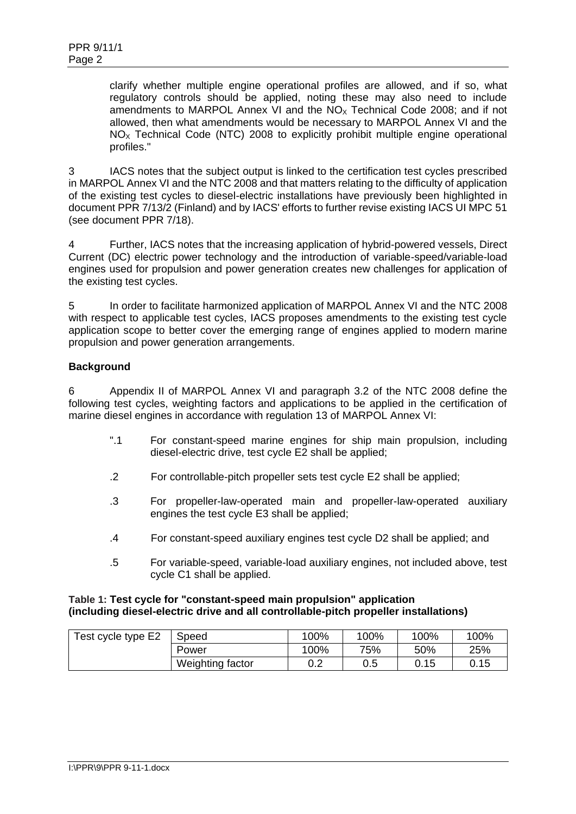clarify whether multiple engine operational profiles are allowed, and if so, what regulatory controls should be applied, noting these may also need to include amendments to MARPOL Annex VI and the  $NO<sub>x</sub>$  Technical Code 2008; and if not allowed, then what amendments would be necessary to MARPOL Annex VI and the  $NO<sub>x</sub>$  Technical Code (NTC) 2008 to explicitly prohibit multiple engine operational profiles."

3 IACS notes that the subject output is linked to the certification test cycles prescribed in MARPOL Annex VI and the NTC 2008 and that matters relating to the difficulty of application of the existing test cycles to diesel-electric installations have previously been highlighted in document PPR 7/13/2 (Finland) and by IACS' efforts to further revise existing IACS UI MPC 51 (see document PPR 7/18).

4 Further, IACS notes that the increasing application of hybrid-powered vessels, Direct Current (DC) electric power technology and the introduction of variable-speed/variable-load engines used for propulsion and power generation creates new challenges for application of the existing test cycles.

5 In order to facilitate harmonized application of MARPOL Annex VI and the NTC 2008 with respect to applicable test cycles, IACS proposes amendments to the existing test cycle application scope to better cover the emerging range of engines applied to modern marine propulsion and power generation arrangements.

# **Background**

6 Appendix II of MARPOL Annex VI and paragraph 3.2 of the NTC 2008 define the following test cycles, weighting factors and applications to be applied in the certification of marine diesel engines in accordance with regulation 13 of MARPOL Annex VI:

- ".1 For constant-speed marine engines for ship main propulsion, including diesel-electric drive, test cycle E2 shall be applied;
- .2 For controllable-pitch propeller sets test cycle E2 shall be applied;
- .3 For propeller-law-operated main and propeller-law-operated auxiliary engines the test cycle E3 shall be applied;
- .4 For constant-speed auxiliary engines test cycle D2 shall be applied; and
- .5 For variable-speed, variable-load auxiliary engines, not included above, test cycle C1 shall be applied.

### **Table 1: Test cycle for "constant-speed main propulsion" application (including diesel-electric drive and all controllable-pitch propeller installations)**

| Test cycle type E2 | Speed            | 100% | 100% | 100% | 100% |
|--------------------|------------------|------|------|------|------|
|                    | Power            | 100% | 75%  | 50%  | 25%  |
|                    | Weighting factor | 0.2  | 0.5  | 0.15 | 0.15 |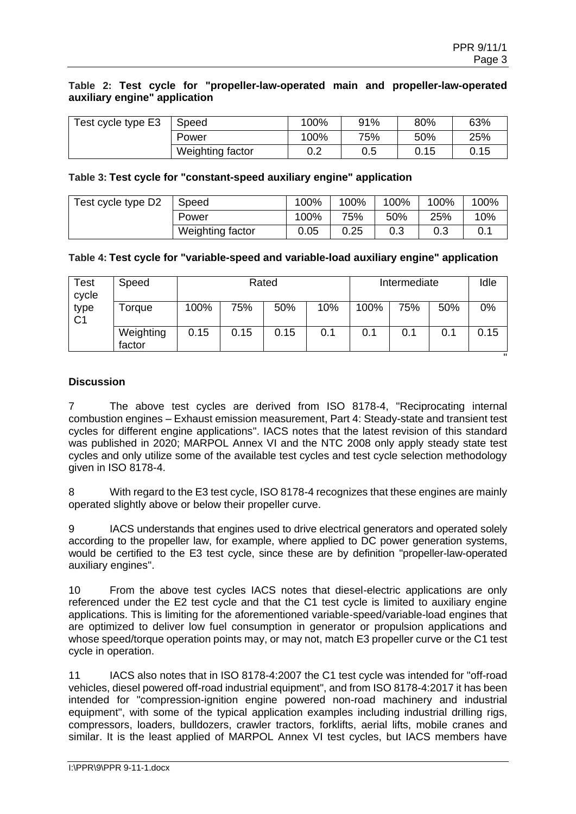#### **Table 2: Test cycle for "propeller-law-operated main and propeller-law-operated auxiliary engine" application**

| Test cycle type E3 | Speed            | 100% | 91% | 80%  | 63%  |
|--------------------|------------------|------|-----|------|------|
|                    | Power            | 100% | 75% | 50%  | 25%  |
|                    | Weighting factor | 0.2  | 0.5 | 0.15 | 0.15 |

#### **Table 3: Test cycle for "constant-speed auxiliary engine" application**

| Test cycle type D2 | Speed            | 100% | 100% | 100% | 100% | 100% |
|--------------------|------------------|------|------|------|------|------|
|                    | Power            | 100% | 75%  | 50%  | 25%  | 10%  |
|                    | Weighting factor | 0.05 | 0.25 | 0.3  | 0.3  |      |

#### **Table 4: Test cycle for "variable-speed and variable-load auxiliary engine" application**

| Test<br>cycle          | Speed               | Rated |      |      |     | Intermediate |     |     | Idle      |
|------------------------|---------------------|-------|------|------|-----|--------------|-----|-----|-----------|
| type<br>C <sub>1</sub> | <b>Forque</b>       | 100%  | 75%  | 50%  | 10% | 100%         | 75% | 50% | 0%        |
|                        | Weighting<br>factor | 0.15  | 0.15 | 0.15 | 0.1 | 0.1          | 0.1 | 0.1 | 0.15<br>. |

### **Discussion**

7 The above test cycles are derived from ISO 8178-4, "Reciprocating internal combustion engines – Exhaust emission measurement, Part 4: Steady-state and transient test cycles for different engine applications". IACS notes that the latest revision of this standard was published in 2020; MARPOL Annex VI and the NTC 2008 only apply steady state test cycles and only utilize some of the available test cycles and test cycle selection methodology given in ISO 8178-4.

8 With regard to the E3 test cycle, ISO 8178-4 recognizes that these engines are mainly operated slightly above or below their propeller curve.

9 IACS understands that engines used to drive electrical generators and operated solely according to the propeller law, for example, where applied to DC power generation systems, would be certified to the E3 test cycle, since these are by definition "propeller-law-operated auxiliary engines".

10 From the above test cycles IACS notes that diesel-electric applications are only referenced under the E2 test cycle and that the C1 test cycle is limited to auxiliary engine applications. This is limiting for the aforementioned variable-speed/variable-load engines that are optimized to deliver low fuel consumption in generator or propulsion applications and whose speed/torque operation points may, or may not, match E3 propeller curve or the C1 test cycle in operation.

11 IACS also notes that in ISO 8178-4:2007 the C1 test cycle was intended for "off-road vehicles, diesel powered off-road industrial equipment", and from ISO 8178-4:2017 it has been intended for "compression-ignition engine powered non-road machinery and industrial equipment", with some of the typical application examples including industrial drilling rigs, compressors, loaders, bulldozers, crawler tractors, forklifts, aerial lifts, mobile cranes and similar. It is the least applied of MARPOL Annex VI test cycles, but IACS members have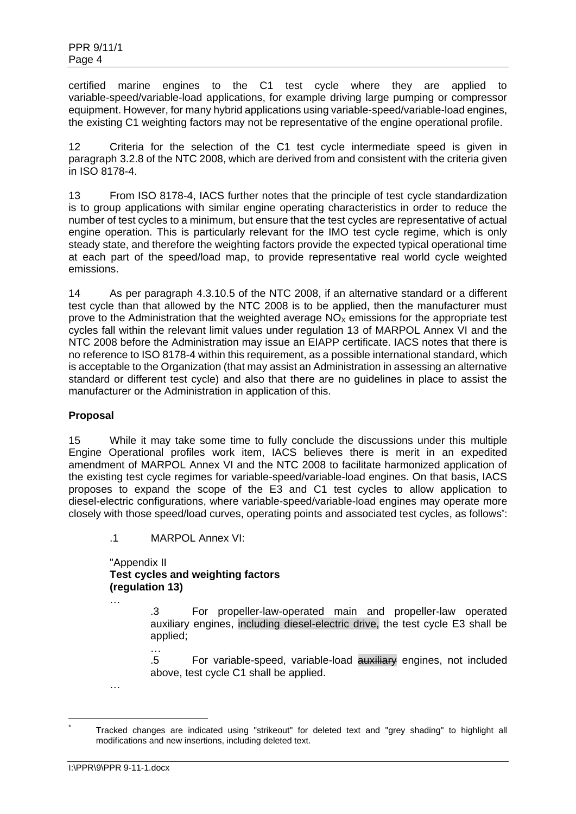certified marine engines to the C1 test cycle where they are applied to variable-speed/variable-load applications, for example driving large pumping or compressor equipment. However, for many hybrid applications using variable-speed/variable-load engines, the existing C1 weighting factors may not be representative of the engine operational profile.

12 Criteria for the selection of the C1 test cycle intermediate speed is given in paragraph 3.2.8 of the NTC 2008, which are derived from and consistent with the criteria given in ISO 8178-4.

13 From ISO 8178-4, IACS further notes that the principle of test cycle standardization is to group applications with similar engine operating characteristics in order to reduce the number of test cycles to a minimum, but ensure that the test cycles are representative of actual engine operation. This is particularly relevant for the IMO test cycle regime, which is only steady state, and therefore the weighting factors provide the expected typical operational time at each part of the speed/load map, to provide representative real world cycle weighted emissions.

14 As per paragraph 4.3.10.5 of the NTC 2008, if an alternative standard or a different test cycle than that allowed by the NTC 2008 is to be applied, then the manufacturer must prove to the Administration that the weighted average  $NO<sub>x</sub>$  emissions for the appropriate test cycles fall within the relevant limit values under regulation 13 of MARPOL Annex VI and the NTC 2008 before the Administration may issue an EIAPP certificate. IACS notes that there is no reference to ISO 8178-4 within this requirement, as a possible international standard, which is acceptable to the Organization (that may assist an Administration in assessing an alternative standard or different test cycle) and also that there are no guidelines in place to assist the manufacturer or the Administration in application of this.

# **Proposal**

15 While it may take some time to fully conclude the discussions under this multiple Engine Operational profiles work item, IACS believes there is merit in an expedited amendment of MARPOL Annex VI and the NTC 2008 to facilitate harmonized application of the existing test cycle regimes for variable-speed/variable-load engines. On that basis, IACS proposes to expand the scope of the E3 and C1 test cycles to allow application to diesel-electric configurations, where variable-speed/variable-load engines may operate more closely with those speed/load curves, operating points and associated test cycles, as follows \* :

.1 MARPOL Annex VI:

…

"Appendix II **Test cycles and weighting factors (regulation 13)**

> .3 For propeller-law-operated main and propeller-law operated auxiliary engines, including diesel-electric drive, the test cycle E3 shall be applied;

> .5 For variable-speed, variable-load auxiliary engines, not included above, test cycle C1 shall be applied.

…

<sup>…</sup>

Tracked changes are indicated using "strikeout" for deleted text and "grey shading" to highlight all modifications and new insertions, including deleted text.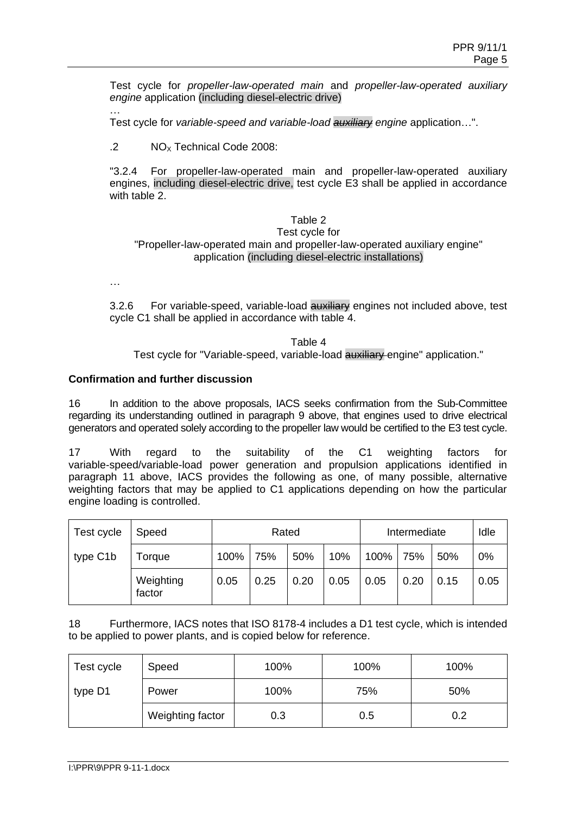Test cycle for *propeller-law-operated main* and *propeller-law-operated auxiliary engine* application (including diesel-electric drive)

… Test cycle for *variable-speed and variable-load auxiliary engine* application…".

.2  $NO<sub>x</sub>$  Technical Code 2008:

"3.2.4 For propeller-law-operated main and propeller-law-operated auxiliary engines, including diesel-electric drive, test cycle E3 shall be applied in accordance with table 2.

### Table 2

#### Test cycle for "Propeller-law-operated main and propeller-law-operated auxiliary engine" application (including diesel-electric installations)

…

3.2.6 For variable-speed, variable-load auxiliary engines not included above, test cycle C1 shall be applied in accordance with table 4.

Table 4 Test cycle for "Variable-speed, variable-load **auxiliary** engine" application."

### **Confirmation and further discussion**

16 In addition to the above proposals, IACS seeks confirmation from the Sub-Committee regarding its understanding outlined in paragraph 9 above, that engines used to drive electrical generators and operated solely according to the propeller law would be certified to the E3 test cycle.

17 With regard to the suitability of the C1 weighting factors for variable-speed/variable-load power generation and propulsion applications identified in paragraph 11 above, IACS provides the following as one, of many possible, alternative weighting factors that may be applied to C1 applications depending on how the particular engine loading is controlled.

| Test cycle | Speed               | Rated |      |      |      | Intermediate |      | Idle |      |
|------------|---------------------|-------|------|------|------|--------------|------|------|------|
| type C1b   | Torque              | 100%  | 75%  | 50%  | 10%  | 100%         | 75%  | 50%  | 0%   |
|            | Weighting<br>factor | 0.05  | 0.25 | 0.20 | 0.05 | 0.05         | 0.20 | 0.15 | 0.05 |

18 Furthermore, IACS notes that ISO 8178-4 includes a D1 test cycle, which is intended to be applied to power plants, and is copied below for reference.

| Test cycle | Speed            | 100% | 100% | 100% |  |
|------------|------------------|------|------|------|--|
| type D1    | Power            | 100% | 75%  | 50%  |  |
|            | Weighting factor | 0.3  | 0.5  | 0.2  |  |